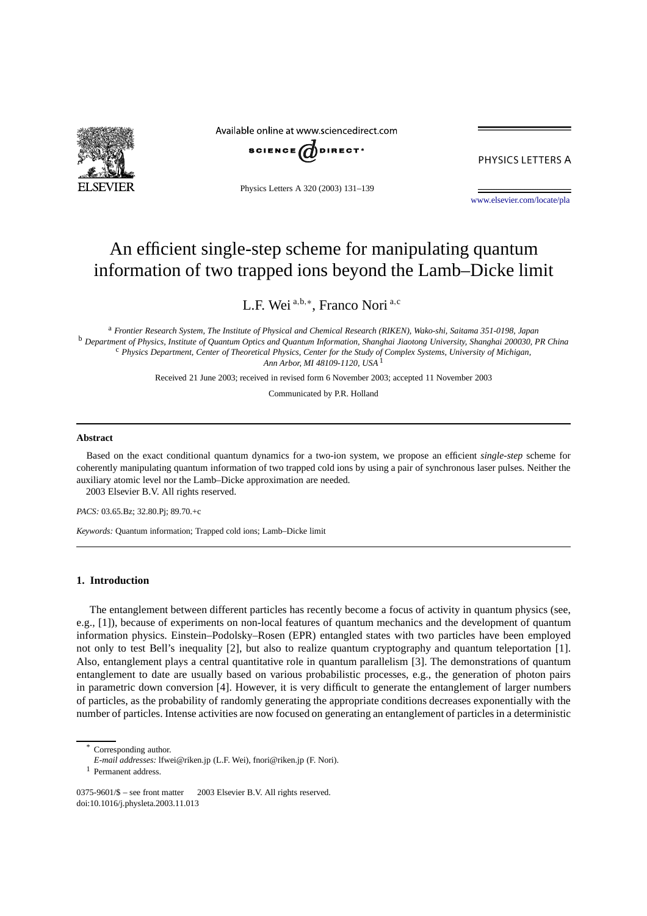

Available online at www.sciencedirect.com



PHYSICS LETTERS A

Physics Letters A 320 (2003) 131–139

[www.elsevier.com/locate/pla](http://www.elsevier.com/locate/pla)

# An efficient single-step scheme for manipulating quantum information of two trapped ions beyond the Lamb–Dicke limit

L.F. Wei <sup>a</sup>*,*b*,*<sup>∗</sup> , Franco Nori <sup>a</sup>*,*<sup>c</sup>

<sup>a</sup> *Frontier Research System, The Institute of Physical and Chemical Research (RIKEN), Wako-shi, Saitama 351-0198, Japan* <sup>b</sup> *Department of Physics, Institute of Quantum Optics and Quantum Information, Shanghai Jiaotong University, Shanghai 200030, PR China* <sup>c</sup> *Physics Department, Center of Theoretical Physics, Center for the Study of Complex Systems, University of Michigan, Ann Arbor, MI 48109-1120, USA* <sup>1</sup>

Received 21 June 2003; received in revised form 6 November 2003; accepted 11 November 2003

Communicated by P.R. Holland

#### **Abstract**

Based on the exact conditional quantum dynamics for a two-ion system, we propose an efficient *single-step* scheme for coherently manipulating quantum information of two trapped cold ions by using a pair of synchronous laser pulses. Neither the auxiliary atomic level nor the Lamb–Dicke approximation are needed. 2003 Elsevier B.V. All rights reserved.

*PACS:* 03.65.Bz; 32.80.Pj; 89.70.+c

*Keywords:* Quantum information; Trapped cold ions; Lamb–Dicke limit

## **1. Introduction**

The entanglement between different particles has recently become a focus of activity in quantum physics (see, e.g., [1]), because of experiments on non-local features of quantum mechanics and the development of quantum information physics. Einstein–Podolsky–Rosen (EPR) entangled states with two particles have been employed not only to test Bell's inequality [2], but also to realize quantum cryptography and quantum teleportation [1]. Also, entanglement plays a central quantitative role in quantum parallelism [3]. The demonstrations of quantum entanglement to date are usually based on various probabilistic processes, e.g., the generation of photon pairs in parametric down conversion [4]. However, it is very difficult to generate the entanglement of larger numbers of particles, as the probability of randomly generating the appropriate conditions decreases exponentially with the number of particles. Intense activities are now focused on generating an entanglement of particles in a deterministic

Corresponding author.

*E-mail addresses:* lfwei@riken.jp (L.F. Wei), fnori@riken.jp (F. Nori).

<sup>1</sup> Permanent address.

 $0375-9601/\$  – see front matter  $\odot$  2003 Elsevier B.V. All rights reserved. doi:10.1016/j.physleta.2003.11.013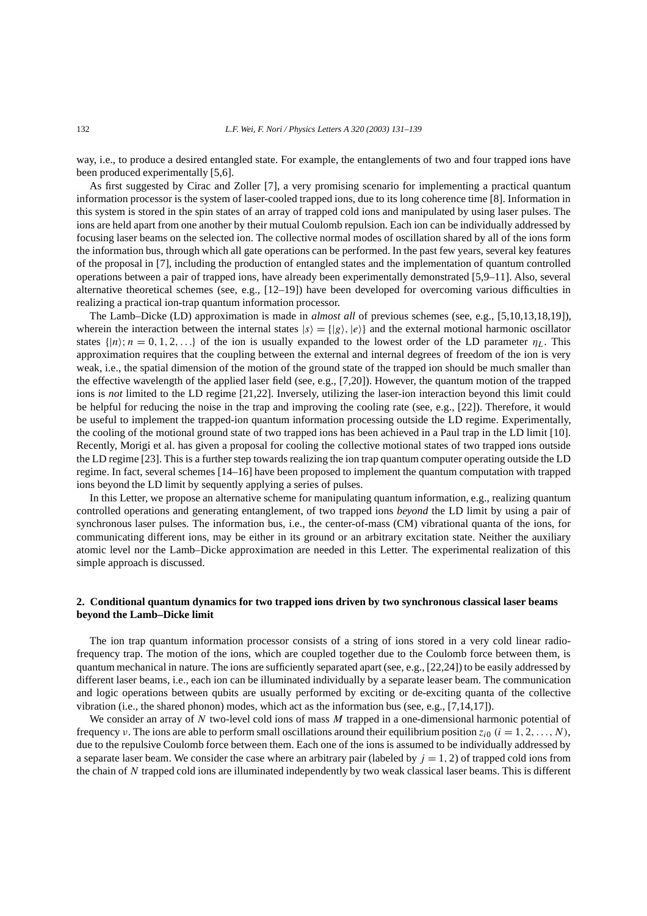way, i.e., to produce a desired entangled state. For example, the entanglements of two and four trapped ions have been produced experimentally [5,6].

As first suggested by Cirac and Zoller [7], a very promising scenario for implementing a practical quantum information processor is the system of laser-cooled trapped ions, due to its long coherence time [8]. Information in this system is stored in the spin states of an array of trapped cold ions and manipulated by using laser pulses. The ions are held apart from one another by their mutual Coulomb repulsion. Each ion can be individually addressed by focusing laser beams on the selected ion. The collective normal modes of oscillation shared by all of the ions form the information bus, through which all gate operations can be performed. In the past few years, several key features of the proposal in [7], including the production of entangled states and the implementation of quantum controlled operations between a pair of trapped ions, have already been experimentally demonstrated [5,9–11]. Also, several alternative theoretical schemes (see, e.g., [12–19]) have been developed for overcoming various difficulties in realizing a practical ion-trap quantum information processor.

The Lamb–Dicke (LD) approximation is made in *almost all* of previous schemes (see, e.g., [5,10,13,18,19]), wherein the interaction between the internal states  $|s\rangle = \{|g\rangle, |e\rangle\}$  and the external motional harmonic oscillator states  $\{|n\rangle; n = 0, 1, 2, \ldots\}$  of the ion is usually expanded to the lowest order of the LD parameter  $\eta_L$ . This approximation requires that the coupling between the external and internal degrees of freedom of the ion is very weak, i.e., the spatial dimension of the motion of the ground state of the trapped ion should be much smaller than the effective wavelength of the applied laser field (see, e.g., [7,20]). However, the quantum motion of the trapped ions is *not* limited to the LD regime [21,22]. Inversely, utilizing the laser-ion interaction beyond this limit could be helpful for reducing the noise in the trap and improving the cooling rate (see, e.g., [22]). Therefore, it would be useful to implement the trapped-ion quantum information processing outside the LD regime. Experimentally, the cooling of the motional ground state of two trapped ions has been achieved in a Paul trap in the LD limit [10]. Recently, Morigi et al. has given a proposal for cooling the collective motional states of two trapped ions outside the LD regime [23]. This is a further step towards realizing the ion trap quantum computer operating outside the LD regime. In fact, several schemes [14–16] have been proposed to implement the quantum computation with trapped ions beyond the LD limit by sequently applying a series of pulses.

In this Letter, we propose an alternative scheme for manipulating quantum information, e.g., realizing quantum controlled operations and generating entanglement, of two trapped ions *beyond* the LD limit by using a pair of synchronous laser pulses. The information bus, i.e., the center-of-mass (CM) vibrational quanta of the ions, for communicating different ions, may be either in its ground or an arbitrary excitation state. Neither the auxiliary atomic level nor the Lamb–Dicke approximation are needed in this Letter. The experimental realization of this simple approach is discussed.

# **2. Conditional quantum dynamics for two trapped ions driven by two synchronous classical laser beams beyond the Lamb–Dicke limit**

The ion trap quantum information processor consists of a string of ions stored in a very cold linear radiofrequency trap. The motion of the ions, which are coupled together due to the Coulomb force between them, is quantum mechanical in nature. The ions are sufficiently separated apart (see, e.g., [22,24]) to be easily addressed by different laser beams, i.e., each ion can be illuminated individually by a separate leaser beam. The communication and logic operations between qubits are usually performed by exciting or de-exciting quanta of the collective vibration (i.e., the shared phonon) modes, which act as the information bus (see, e.g., [7,14,17]).

We consider an array of N two-level cold ions of mass M trapped in a one-dimensional harmonic potential of frequency *ν*. The ions are able to perform small oscillations around their equilibrium position  $z_{i0}$  ( $i = 1, 2, ..., N$ ), due to the repulsive Coulomb force between them. Each one of the ions is assumed to be individually addressed by a separate laser beam. We consider the case where an arbitrary pair (labeled by  $j = 1, 2$ ) of trapped cold ions from the chain of *N* trapped cold ions are illuminated independently by two weak classical laser beams. This is different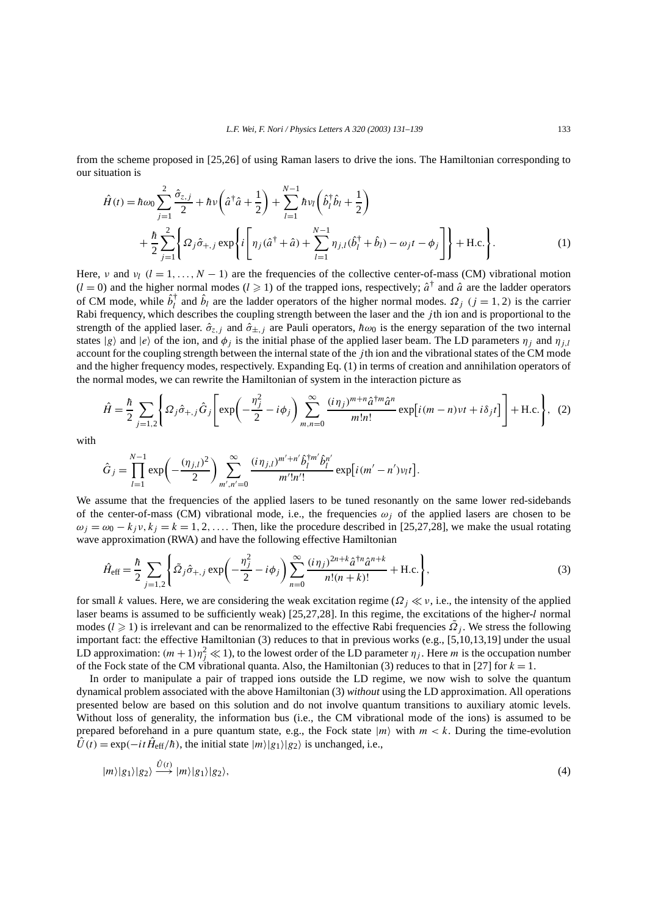from the scheme proposed in [25,26] of using Raman lasers to drive the ions. The Hamiltonian corresponding to our situation is

$$
\hat{H}(t) = \hbar \omega_0 \sum_{j=1}^2 \frac{\hat{\sigma}_{z,j}}{2} + \hbar v \left( \hat{a}^\dagger \hat{a} + \frac{1}{2} \right) + \sum_{l=1}^{N-1} \hbar v_l \left( \hat{b}_l^\dagger \hat{b}_l + \frac{1}{2} \right) \n+ \frac{\hbar}{2} \sum_{j=1}^2 \left\{ \Omega_j \hat{\sigma}_{+,j} \exp \left\{ i \left[ \eta_j (\hat{a}^\dagger + \hat{a}) + \sum_{l=1}^{N-1} \eta_{j,l} (\hat{b}_l^\dagger + \hat{b}_l) - \omega_j t - \phi_j \right] \right\} + \text{H.c.} \right\}.
$$
\n(1)

Here, *v* and *v<sub>l</sub>*  $(l = 1, ..., N - 1)$  are the frequencies of the collective center-of-mass (CM) vibrational motion  $(l = 0)$  and the higher normal modes  $(l \ge 1)$  of the trapped ions, respectively;  $\hat{a}^{\dagger}$  and  $\hat{a}$  are the ladder operators of CM mode, while  $\hat{b}_l^{\dagger}$  and  $\hat{b}_l$  are the ladder operators of the higher normal modes.  $\Omega_j$   $(j = 1, 2)$  is the carrier Rabi frequency, which describes the coupling strength between the laser and the *j* th ion and is proportional to the strength of the applied laser.  $\hat{\sigma}_{z,j}$  and  $\hat{\sigma}_{\pm,j}$  are Pauli operators,  $h\omega_0$  is the energy separation of the two internal states  $|g\rangle$  and  $|e\rangle$  of the ion, and  $\phi_j$  is the initial phase of the applied laser beam. The LD parameters  $\eta_j$  and  $\eta_{j,l}$ account for the coupling strength between the internal state of the *j* th ion and the vibrational states of the CM mode and the higher frequency modes, respectively. Expanding Eq. (1) in terms of creation and annihilation operators of the normal modes, we can rewrite the Hamiltonian of system in the interaction picture as

$$
\hat{H} = \frac{\hbar}{2} \sum_{j=1,2} \left\{ \Omega_j \hat{\sigma}_{+,j} \hat{G}_j \left[ \exp\left( -\frac{\eta_j^2}{2} - i\phi_j \right) \sum_{m,n=0}^{\infty} \frac{(i\eta_j)^{m+n} \hat{a}^{\dagger m} \hat{a}^n}{m!n!} \exp\left[ i(m-n)\nu t + i\delta_j t \right] \right] + \text{H.c.} \right\}, (2)
$$

with

$$
\hat{G}_j = \prod_{l=1}^{N-1} \exp\left(-\frac{(\eta_{j,l})^2}{2}\right) \sum_{m',n'=0}^{\infty} \frac{(i\eta_{j,l})^{m'+n'} \hat{b}_l^{\dagger m'} \hat{b}_l^{n'}}{m'!n'!} \exp\left[i(m'-n')\nu_l t\right].
$$

We assume that the frequencies of the applied lasers to be tuned resonantly on the same lower red-sidebands of the center-of-mass (CM) vibrational mode, i.e., the frequencies  $\omega_i$  of the applied lasers are chosen to be  $\omega_i = \omega_0 - k_i v$ ,  $k_i = k = 1, 2, \ldots$  Then, like the procedure described in [25,27,28], we make the usual rotating wave approximation (RWA) and have the following effective Hamiltonian

$$
\hat{H}_{\text{eff}} = \frac{\hbar}{2} \sum_{j=1,2} \left\{ \tilde{\Omega}_j \hat{\sigma}_{+,j} \exp\left(-\frac{\eta_j^2}{2} - i\phi_j\right) \sum_{n=0}^{\infty} \frac{(i\eta_j)^{2n+k} \hat{a}^{\dagger n} \hat{a}^{n+k}}{n!(n+k)!} + \text{H.c.} \right\},\tag{3}
$$

for small *k* values. Here, we are considering the weak excitation regime ( $\Omega_i \ll v$ , i.e., the intensity of the applied laser beams is assumed to be sufficiently weak) [25,27,28]. In this regime, the excitations of the higher-*l* normal modes ( $l \ge 1$ ) is irrelevant and can be renormalized to the effective Rabi frequencies  $\Omega_j$ . We stress the following important fact: the effective Hamiltonian (3) reduces to that in previous works (e.g., [5,10,13,19] under the usual LD approximation:  $(m+1)\eta_j^2 \ll 1$ ), to the lowest order of the LD parameter  $\eta_j$ . Here m is the occupation number of the Fock state of the CM vibrational quanta. Also, the Hamiltonian (3) reduces to that in [27] for  $k = 1$ .

In order to manipulate a pair of trapped ions outside the LD regime, we now wish to solve the quantum dynamical problem associated with the above Hamiltonian (3) *without* using the LD approximation. All operations presented below are based on this solution and do not involve quantum transitions to auxiliary atomic levels. Without loss of generality, the information bus (i.e., the CM vibrational mode of the ions) is assumed to be prepared beforehand in a pure quantum state, e.g., the Fock state  $|m\rangle$  with  $m < k$ . During the time-evolution  $\hat{U}(t) = \exp(-it\hat{H}_{\text{eff}}/\hbar)$ , the initial state  $|m\rangle|g_1\rangle|g_2\rangle$  is unchanged, i.e.,

$$
|m\rangle|g_1\rangle|g_2\rangle \xrightarrow{\hat{U}(t)} |m\rangle|g_1\rangle|g_2\rangle,\tag{4}
$$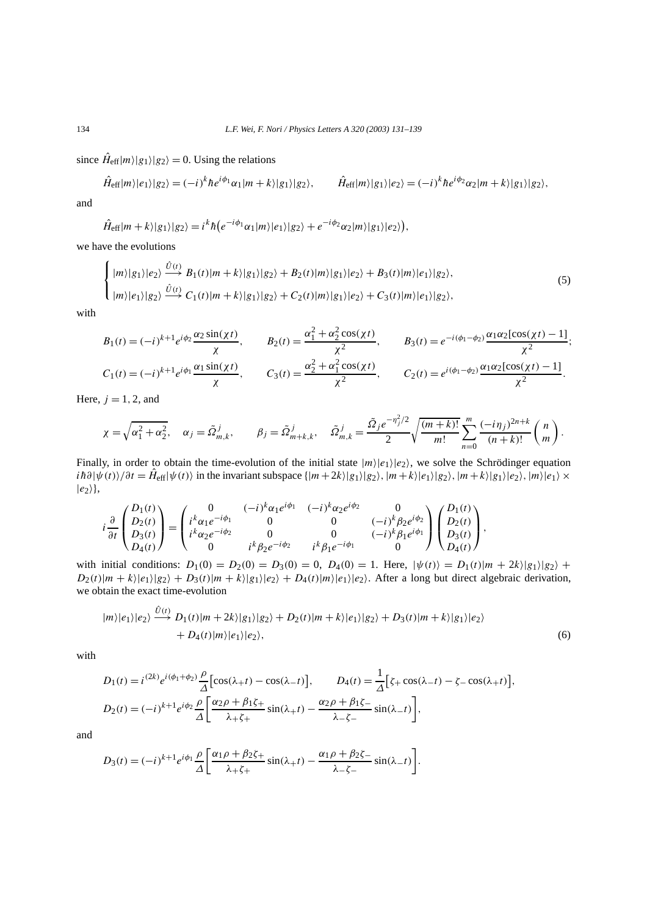since  $\hat{H}_{\text{eff}}|m\rangle|g_1\rangle|g_2\rangle = 0$ . Using the relations

$$
\hat{H}_{\text{eff}}|m\rangle|e_1\rangle|g_2\rangle=(-i)^k\hbar e^{i\phi_1}\alpha_1|m+k\rangle|g_1\rangle|g_2\rangle, \qquad \hat{H}_{\text{eff}}|m\rangle|g_1\rangle|e_2\rangle=(-i)^k\hbar e^{i\phi_2}\alpha_2|m+k\rangle|g_1\rangle|g_2\rangle,
$$

and

$$
\hat{H}_{\text{eff}}|m+k\rangle|g_1\rangle|g_2\rangle=i^k\hbar\big(e^{-i\phi_1}\alpha_1|m\rangle|e_1\rangle|g_2\rangle+e^{-i\phi_2}\alpha_2|m\rangle|g_1\rangle|e_2\rangle\big),
$$

we have the evolutions

$$
\begin{cases} |m\rangle|g_1\rangle|e_2\rangle \xrightarrow{\hat{U}(t)} B_1(t)|m+k\rangle|g_1\rangle|g_2\rangle + B_2(t)|m\rangle|g_1\rangle|e_2\rangle + B_3(t)|m\rangle|e_1\rangle|g_2\rangle, \\ |m\rangle|e_1\rangle|g_2\rangle \xrightarrow{\hat{U}(t)} C_1(t)|m+k\rangle|g_1\rangle|g_2\rangle + C_2(t)|m\rangle|g_1\rangle|e_2\rangle + C_3(t)|m\rangle|e_1\rangle|g_2\rangle, \end{cases} (5)
$$

with

$$
B_1(t) = (-i)^{k+1} e^{i\phi_2} \frac{\alpha_2 \sin(\chi t)}{\chi}, \qquad B_2(t) = \frac{\alpha_1^2 + \alpha_2^2 \cos(\chi t)}{\chi^2}, \qquad B_3(t) = e^{-i(\phi_1 - \phi_2)} \frac{\alpha_1 \alpha_2 [\cos(\chi t) - 1]}{\chi^2};
$$
  

$$
C_1(t) = (-i)^{k+1} e^{i\phi_1} \frac{\alpha_1 \sin(\chi t)}{\chi}, \qquad C_3(t) = \frac{\alpha_2^2 + \alpha_1^2 \cos(\chi t)}{\chi^2}, \qquad C_2(t) = e^{i(\phi_1 - \phi_2)} \frac{\alpha_1 \alpha_2 [\cos(\chi t) - 1]}{\chi^2}.
$$

Here,  $j = 1, 2$ , and

$$
\chi = \sqrt{\alpha_1^2 + \alpha_2^2}, \quad \alpha_j = \tilde{\Omega}_{m,k}^j, \qquad \beta_j = \tilde{\Omega}_{m+k,k}^j, \quad \tilde{\Omega}_{m,k}^j = \frac{\tilde{\Omega}_j e^{-\eta_j^2/2}}{2} \sqrt{\frac{(m+k)!}{m!}} \sum_{n=0}^m \frac{(-i\eta_j)^{2n+k}}{(n+k)!} {n \choose m}.
$$

Finally, in order to obtain the time-evolution of the initial state  $|m\rangle|e_1\rangle|e_2\rangle$ , we solve the Schrödinger equation  $i\hbar \partial |\psi(t)\rangle/\partial t = \hat{H}_{eff}|\psi(t)\rangle$  in the invariant subspace  $\{|m+2k\rangle|g_1\rangle|g_2\rangle$ ,  $|m+k\rangle|e_1\rangle|g_2\rangle$ ,  $|m+k\rangle|g_1\rangle|e_2\rangle$ ,  $|m\rangle|e_1\rangle \times$  $|e_2\rangle\},\$ 

$$
i\frac{\partial}{\partial t}\begin{pmatrix}D_1(t)\\D_2(t)\\D_3(t)\\D_4(t)\end{pmatrix} = \begin{pmatrix}0&(-i)^k\alpha_1e^{i\phi_1}&(-i)^k\alpha_2e^{i\phi_2}&0\\i^k\alpha_1e^{-i\phi_1}&0&0&(-i)^k\beta_2e^{i\phi_2}\\i^k\alpha_2e^{-i\phi_2}&0&0&(-i)^k\beta_1e^{i\phi_1}\\0&i^k\beta_2e^{-i\phi_2}&i^k\beta_1e^{-i\phi_1}&0\end{pmatrix}\begin{pmatrix}D_1(t)\\D_2(t)\\D_3(t)\\D_4(t)\end{pmatrix},
$$

with initial conditions:  $D_1(0) = D_2(0) = D_3(0) = 0$ ,  $D_4(0) = 1$ . Here,  $|\psi(t)\rangle = D_1(t)|m + 2k\rangle|g_1\rangle|g_2\rangle +$  $D_2(t)|m+k\rangle|e_1\rangle|g_2\rangle + D_3(t)|m+k\rangle|g_1\rangle|e_2\rangle + D_4(t)|m\rangle|e_1\rangle|e_2\rangle$ . After a long but direct algebraic derivation, we obtain the exact time-evolution

$$
|m\rangle|e_1\rangle|e_2\rangle \xrightarrow{\hat{U}(t)} D_1(t)|m+2k\rangle|g_1\rangle|g_2\rangle + D_2(t)|m+k\rangle|e_1\rangle|g_2\rangle + D_3(t)|m+k\rangle|g_1\rangle|e_2\rangle
$$
  
+  $D_4(t)|m\rangle|e_1\rangle|e_2\rangle,$  (6)

with

$$
D_1(t) = i^{(2k)} e^{i(\phi_1 + \phi_2)} \frac{\rho}{\Delta} \left[ \cos(\lambda_+ t) - \cos(\lambda_- t) \right], \qquad D_4(t) = \frac{1}{\Delta} \left[ \zeta_+ \cos(\lambda_- t) - \zeta_- \cos(\lambda_+ t) \right],
$$
  
\n
$$
D_2(t) = (-i)^{k+1} e^{i\phi_2} \frac{\rho}{\Delta} \left[ \frac{\alpha_2 \rho + \beta_1 \zeta_+}{\lambda_+ \zeta_+} \sin(\lambda_+ t) - \frac{\alpha_2 \rho + \beta_1 \zeta_-}{\lambda_- \zeta_-} \sin(\lambda_- t) \right],
$$

and

$$
D_3(t) = (-i)^{k+1} e^{i\phi_1} \frac{\rho}{\Delta} \left[ \frac{\alpha_1 \rho + \beta_2 \zeta_+}{\lambda_+ \zeta_+} \sin(\lambda_+ t) - \frac{\alpha_1 \rho + \beta_2 \zeta_-}{\lambda_- \zeta_-} \sin(\lambda_- t) \right].
$$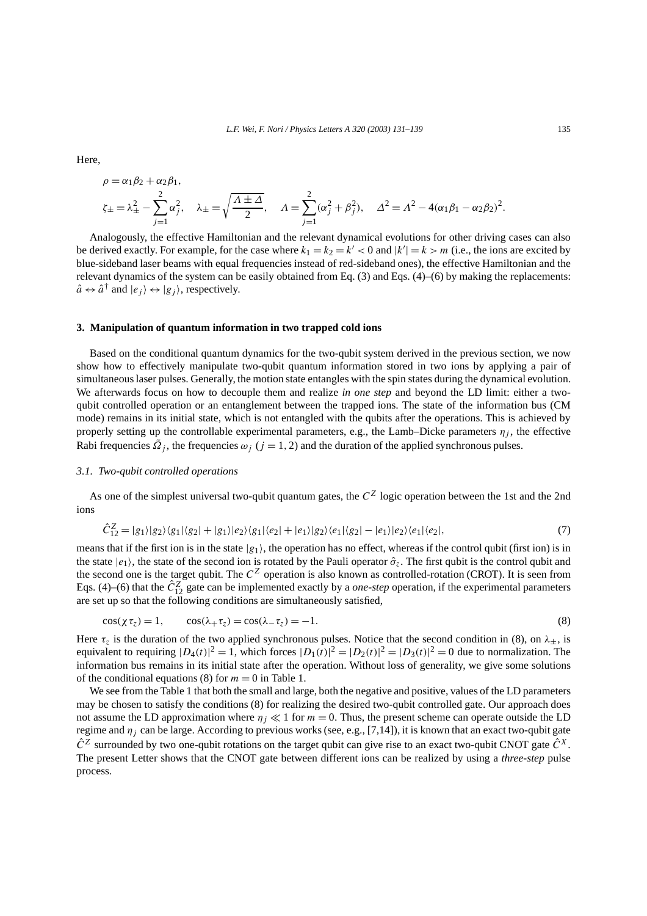Here,

$$
\rho = \alpha_1 \beta_2 + \alpha_2 \beta_1,
$$
  
\n
$$
\zeta_{\pm} = \lambda_{\pm}^2 - \sum_{j=1}^2 \alpha_j^2, \quad \lambda_{\pm} = \sqrt{\frac{\Lambda \pm \Delta}{2}}, \quad \Lambda = \sum_{j=1}^2 (\alpha_j^2 + \beta_j^2), \quad \Delta^2 = \Lambda^2 - 4(\alpha_1 \beta_1 - \alpha_2 \beta_2)^2.
$$

Analogously, the effective Hamiltonian and the relevant dynamical evolutions for other driving cases can also be derived exactly. For example, for the case where  $k_1 = k_2 = k' < 0$  and  $|k'| = k > m$  (i.e., the ions are excited by blue-sideband laser beams with equal frequencies instead of red-sideband ones), the effective Hamiltonian and the relevant dynamics of the system can be easily obtained from Eq. (3) and Eqs. (4)–(6) by making the replacements:  $\hat{a} \leftrightarrow \hat{a}^{\dagger}$  and  $|e_i\rangle \leftrightarrow |g_i\rangle$ , respectively.

## **3. Manipulation of quantum information in two trapped cold ions**

Based on the conditional quantum dynamics for the two-qubit system derived in the previous section, we now show how to effectively manipulate two-qubit quantum information stored in two ions by applying a pair of simultaneous laser pulses. Generally, the motion state entangles with the spin states during the dynamical evolution. We afterwards focus on how to decouple them and realize *in one step* and beyond the LD limit: either a twoqubit controlled operation or an entanglement between the trapped ions. The state of the information bus (CM mode) remains in its initial state, which is not entangled with the qubits after the operations. This is achieved by properly setting up the controllable experimental parameters, e.g., the Lamb–Dicke parameters  $\eta_i$ , the effective Rabi frequencies  $\tilde{\Omega}_i$ , the frequencies  $\omega_i$  ( $j = 1, 2$ ) and the duration of the applied synchronous pulses.

#### *3.1. Two-qubit controlled operations*

As one of the simplest universal two-qubit quantum gates, the  $C^Z$  logic operation between the 1st and the 2nd ions

$$
\hat{C}_{12}^Z = |g_1\rangle|g_2\rangle\langle g_1|\langle g_2| + |g_1\rangle|e_2\rangle\langle g_1|\langle e_2| + |e_1\rangle|g_2\rangle\langle e_1|\langle g_2| - |e_1\rangle|e_2\rangle\langle e_1|\langle e_2|,\tag{7}
$$

means that if the first ion is in the state  $|g_1\rangle$ , the operation has no effect, whereas if the control qubit (first ion) is in the state  $|e_1\rangle$ , the state of the second ion is rotated by the Pauli operator  $\hat{\sigma}_z$ . The first qubit is the control qubit and the second one is the target qubit. The  $C^Z$  operation is also known as controlled-rotation (CROT). It is seen from Eqs. (4)–(6) that the  $\hat{C}_{12}^Z$  gate can be implemented exactly by a *one-step* operation, if the experimental parameters are set up so that the following conditions are simultaneously satisfied,

$$
\cos(\chi \tau_z) = 1, \qquad \cos(\lambda_+ \tau_z) = \cos(\lambda_- \tau_z) = -1. \tag{8}
$$

Here  $\tau_z$  is the duration of the two applied synchronous pulses. Notice that the second condition in (8), on  $\lambda_{\pm}$ , is equivalent to requiring  $|D_4(t)|^2 = 1$ , which forces  $|D_1(t)|^2 = |D_2(t)|^2 = |D_3(t)|^2 = 0$  due to normalization. The information bus remains in its initial state after the operation. Without loss of generality, we give some solutions of the conditional equations (8) for  $m = 0$  in Table 1.

We see from the Table 1 that both the small and large, both the negative and positive, values of the LD parameters may be chosen to satisfy the conditions (8) for realizing the desired two-qubit controlled gate. Our approach does not assume the LD approximation where  $\eta_j \ll 1$  for  $m = 0$ . Thus, the present scheme can operate outside the LD regime and *ηj* can be large. According to previous works (see, e.g., [7,14]), it is known that an exact two-qubit gate  $\hat{C}^Z$  surrounded by two one-qubit rotations on the target qubit can give rise to an exact two-qubit CNOT gate  $\hat{C}^X$ . The present Letter shows that the CNOT gate between different ions can be realized by using a *three-step* pulse process.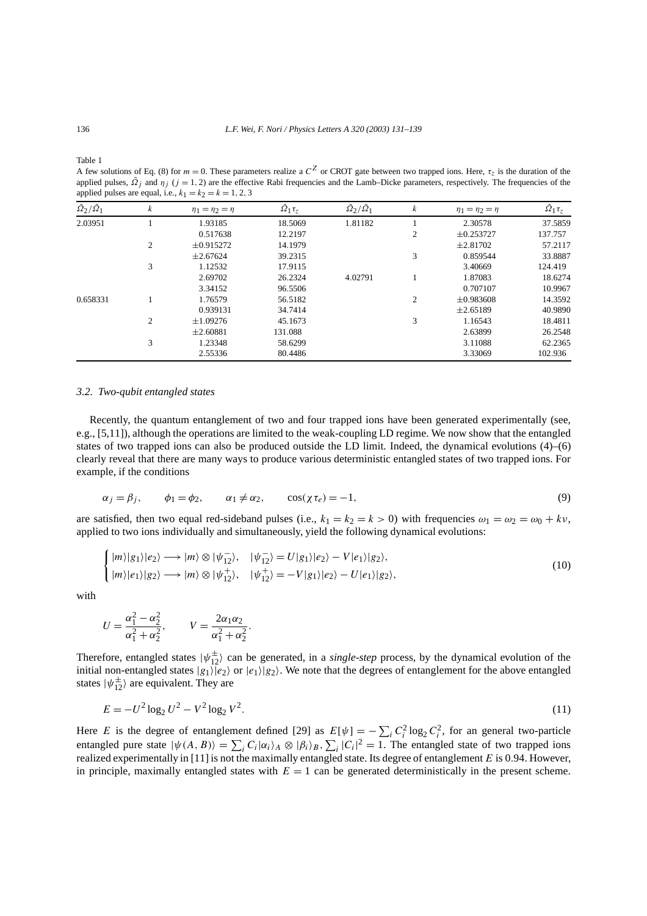Table 1

A few solutions of Eq. (8) for  $m = 0$ . These parameters realize a  $C^Z$  or CROT gate between two trapped ions. Here,  $\tau_z$  is the duration of the applied pulses,  $\tilde{Q}_j$  and  $\eta_j$  ( $j = 1, 2$ ) are the effective Rabi frequencies and the Lamb–Dicke parameters, respectively. The frequencies of the applied pulses are equal, i.e.,  $k_1 = k_2 = k = 1, 2, 3$ 

| $\tilde{\Omega}_2/\tilde{\Omega}_1$ | k              | $\eta_1 = \eta_2 = \eta$ | $\tilde{\Omega}_1 \tau_z$ | $\tilde{\Omega}_2/\tilde{\Omega}_1$ | k              | $\eta_1 = \eta_2 = \eta$ | $\tilde{\Omega}_1 \tau_z$ |
|-------------------------------------|----------------|--------------------------|---------------------------|-------------------------------------|----------------|--------------------------|---------------------------|
| 2.03951                             |                | 1.93185                  | 18.5069                   | 1.81182                             |                | 2.30578                  | 37.5859                   |
|                                     |                | 0.517638                 | 12.2197                   |                                     | 2              | $\pm 0.253727$           | 137.757                   |
|                                     | 2              | $\pm 0.915272$           | 14.1979                   |                                     |                | $\pm 2.81702$            | 57.2117                   |
|                                     |                | $\pm 2.67624$            | 39.2315                   |                                     | 3              | 0.859544                 | 33.8887                   |
|                                     | 3              | 1.12532                  | 17.9115                   |                                     |                | 3.40669                  | 124.419                   |
|                                     |                | 2.69702                  | 26.2324                   | 4.02791                             |                | 1.87083                  | 18.6274                   |
|                                     |                | 3.34152                  | 96.5506                   |                                     |                | 0.707107                 | 10.9967                   |
| 0.658331                            |                | 1.76579                  | 56.5182                   |                                     | $\overline{c}$ | $\pm 0.983608$           | 14.3592                   |
|                                     |                | 0.939131                 | 34.7414                   |                                     |                | $\pm 2.65189$            | 40.9890                   |
|                                     | $\overline{c}$ | $\pm 1.09276$            | 45.1673                   |                                     | 3              | 1.16543                  | 18.4811                   |
|                                     |                | $\pm 2.60881$            | 131.088                   |                                     |                | 2.63899                  | 26.2548                   |
|                                     | 3              | 1.23348                  | 58.6299                   |                                     |                | 3.11088                  | 62.2365                   |
|                                     |                | 2.55336                  | 80.4486                   |                                     |                | 3.33069                  | 102.936                   |

#### *3.2. Two-qubit entangled states*

Recently, the quantum entanglement of two and four trapped ions have been generated experimentally (see, e.g., [5,11]), although the operations are limited to the weak-coupling LD regime. We now show that the entangled states of two trapped ions can also be produced outside the LD limit. Indeed, the dynamical evolutions (4)–(6) clearly reveal that there are many ways to produce various deterministic entangled states of two trapped ions. For example, if the conditions

$$
\alpha_j = \beta_j, \qquad \phi_1 = \phi_2, \qquad \alpha_1 \neq \alpha_2, \qquad \cos(\chi \tau_e) = -1,\tag{9}
$$

are satisfied, then two equal red-sideband pulses (i.e.,  $k_1 = k_2 = k > 0$ ) with frequencies  $\omega_1 = \omega_2 = \omega_0 + k\nu$ , applied to two ions individually and simultaneously, yield the following dynamical evolutions:

$$
\begin{cases}\n|m\rangle|g_1\rangle|e_2\rangle \longrightarrow |m\rangle \otimes |\psi_{12}^-\rangle, & |\psi_{12}^-\rangle = U|g_1\rangle|e_2\rangle - V|e_1\rangle|g_2\rangle, \\
|m\rangle|e_1\rangle|g_2\rangle \longrightarrow |m\rangle \otimes |\psi_{12}^+\rangle, & |\psi_{12}^+\rangle = -V|g_1\rangle|e_2\rangle - U|e_1\rangle|g_2\rangle,\n\end{cases}
$$
\n(10)

with

$$
U = \frac{\alpha_1^2 - \alpha_2^2}{\alpha_1^2 + \alpha_2^2}, \qquad V = \frac{2\alpha_1\alpha_2}{\alpha_1^2 + \alpha_2^2}.
$$

Therefore, entangled states  $|\psi_{12}^{\pm}\rangle$  can be generated, in a *single-step* process, by the dynamical evolution of the initial non-entangled states  $|g_1\rangle|e_2\rangle$  or  $|e_1\rangle|g_2\rangle$ . We note that the degrees of entanglement for the above entangled states  $|\psi_{12}^{\pm}\rangle$  are equivalent. They are

$$
E = -U^2 \log_2 U^2 - V^2 \log_2 V^2. \tag{11}
$$

Here *E* is the degree of entanglement defined [29] as  $E[\psi] = -\sum_i C_i^2 \log_2 C_i^2$ , for an general two-particle entangled pure state  $|\psi(A, B)\rangle = \sum_i C_i |\alpha_i\rangle_A \otimes |\beta_i\rangle_B$ ,  $\sum_i |C_i|^2 = 1$ . The entangled state of two trapped ions realized experimentally in [11] is not the maximally entangled state. Its degree of entanglement *E* is 0*.*94. However, in principle, maximally entangled states with  $E = 1$  can be generated deterministically in the present scheme.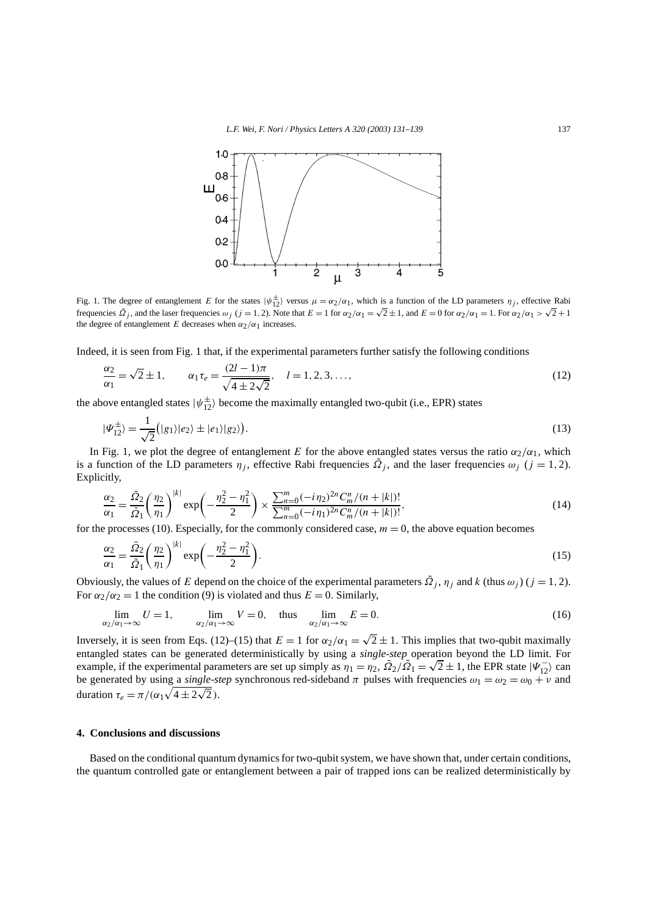

Fig. 1. The degree of entanglement *E* for the states  $|\psi_{12}^{\pm}\rangle$  versus  $\mu = \alpha_2/\alpha_1$ , which is a function of the LD parameters  $\eta_j$ , effective Rabi frequencies  $\tilde{\Omega}_i$ , and the laser frequencies  $\omega_i$  ( $j = 1, 2$ ). Note that  $E = 1$  for  $\alpha_2/\alpha_1 = \sqrt{2} \pm 1$ , and  $E = 0$  for  $\alpha_2/\alpha_1 = 1$ . For  $\alpha_2/\alpha_1 > \sqrt{2} + 1$ the degree of entanglement *E* decreases when  $\alpha_2/\alpha_1$  increases.

Indeed, it is seen from Fig. 1 that, if the experimental parameters further satisfy the following conditions

$$
\frac{\alpha_2}{\alpha_1} = \sqrt{2} \pm 1, \qquad \alpha_1 \tau_e = \frac{(2l-1)\pi}{\sqrt{4 \pm 2\sqrt{2}}}, \quad l = 1, 2, 3, \dots,
$$
\n(12)

the above entangled states  $|\psi_{12}^{\pm}\rangle$  become the maximally entangled two-qubit (i.e., EPR) states

$$
|\Psi_{12}^{\pm}\rangle = \frac{1}{\sqrt{2}} (|g_1\rangle|e_2\rangle \pm |e_1\rangle|g_2\rangle).
$$
 (13)

In Fig. 1, we plot the degree of entanglement *E* for the above entangled states versus the ratio  $\alpha_2/\alpha_1$ , which is a function of the LD parameters  $\eta_i$ , effective Rabi frequencies  $\tilde{\Omega}_i$ , and the laser frequencies  $\omega_i$  ( $j = 1, 2$ ). Explicitly,

$$
\frac{\alpha_2}{\alpha_1} = \frac{\tilde{\Omega}_2}{\tilde{\Omega}_1} \left(\frac{\eta_2}{\eta_1}\right)^{|k|} \exp\left(-\frac{\eta_2^2 - \eta_1^2}{2}\right) \times \frac{\sum_{n=0}^m (-i\eta_2)^{2n} C_m^n / (n+|k|)!}{\sum_{n=0}^m (-i\eta_1)^{2n} C_m^n / (n+|k|)!},\tag{14}
$$

for the processes (10). Especially, for the commonly considered case,  $m = 0$ , the above equation becomes

$$
\frac{\alpha_2}{\alpha_1} = \frac{\tilde{\Omega}_2}{\tilde{\Omega}_1} \left(\frac{\eta_2}{\eta_1}\right)^{|k|} \exp\left(-\frac{\eta_2^2 - \eta_1^2}{2}\right).
$$
\n(15)

Obviously, the values of *E* depend on the choice of the experimental parameters  $\tilde{Q}_i$ ,  $\eta_i$  and *k* (thus  $\omega_i$ ) ( $j = 1, 2$ ). For  $\alpha_2/\alpha_2 = 1$  the condition (9) is violated and thus  $E = 0$ . Similarly,

$$
\lim_{\alpha_2/\alpha_1 \to \infty} U = 1, \qquad \lim_{\alpha_2/\alpha_1 \to \infty} V = 0, \quad \text{thus} \quad \lim_{\alpha_2/\alpha_1 \to \infty} E = 0.
$$
 (16)

Inversely, it is seen from Eqs. (12)–(15) that  $E = 1$  for  $\alpha_2/\alpha_1 = \sqrt{2} \pm 1$ . This implies that two-qubit maximally entangled states can be generated deterministically by using a *single-step* operation beyond the LD limit. For entangled states can be generated deterministically by using a *single-step* operation beyond the LD limit. For example, if the experimental parameters are set up simply as  $\eta_1 = \eta_2$ ,  $\tilde{Q}_2/\tilde{Q}_1 = \sqrt{2} \pm 1$ , the EPR be generated by using a *single-step* synchronous red-sideband  $\pi$  pulses with frequencies  $\omega_1 = \omega_2 = \omega_0 + \nu$  and duration  $\tau_e = \pi/(\alpha_1\sqrt{4\pm 2\sqrt{2}})$ .

# **4. Conclusions and discussions**

Based on the conditional quantum dynamics for two-qubit system, we have shown that, under certain conditions, the quantum controlled gate or entanglement between a pair of trapped ions can be realized deterministically by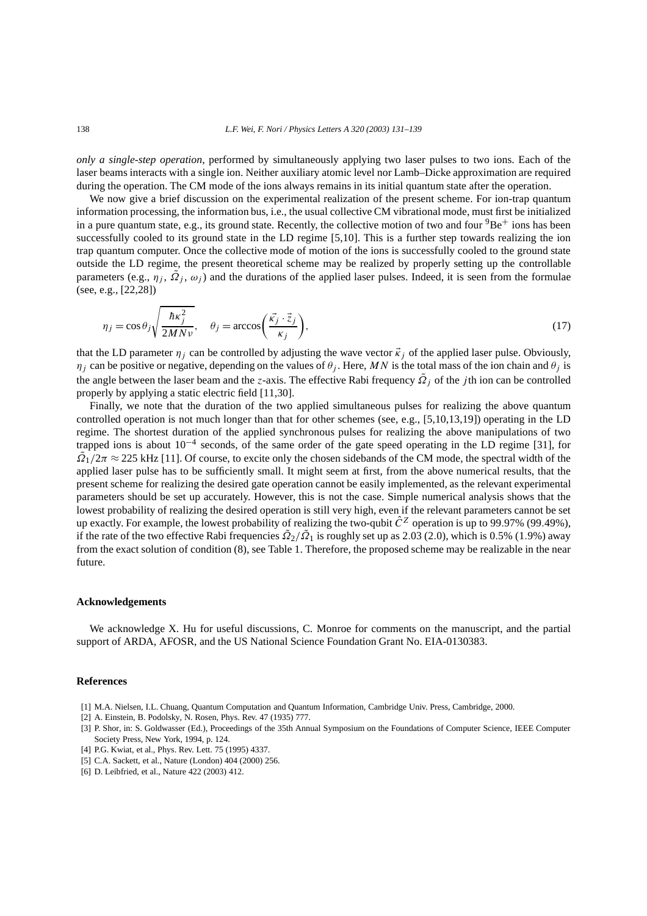*only a single-step operation*, performed by simultaneously applying two laser pulses to two ions. Each of the laser beams interacts with a single ion. Neither auxiliary atomic level nor Lamb–Dicke approximation are required during the operation. The CM mode of the ions always remains in its initial quantum state after the operation.

We now give a brief discussion on the experimental realization of the present scheme. For ion-trap quantum information processing, the information bus, i.e., the usual collective CM vibrational mode, must first be initialized in a pure quantum state, e.g., its ground state. Recently, the collective motion of two and four  ${}^{9}Be^+$  ions has been successfully cooled to its ground state in the LD regime [5,10]. This is a further step towards realizing the ion trap quantum computer. Once the collective mode of motion of the ions is successfully cooled to the ground state outside the LD regime, the present theoretical scheme may be realized by properly setting up the controllable parameters (e.g.,  $\eta_j$ ,  $\Omega_j$ ,  $\omega_j$ ) and the durations of the applied laser pulses. Indeed, it is seen from the formulae (see, e.g., [22,28])

$$
\eta_j = \cos \theta_j \sqrt{\frac{\hbar \kappa_j^2}{2MNv}}, \quad \theta_j = \arccos \left( \frac{\vec{\kappa_j} \cdot \vec{z}_j}{\kappa_j} \right), \tag{17}
$$

that the LD parameter  $\eta_j$  can be controlled by adjusting the wave vector  $\vec{k}_j$  of the applied laser pulse. Obviously, *η<sub>j</sub>* can be positive or negative, depending on the values of  $\theta_j$ . Here, MN is the total mass of the ion chain and  $\theta_j$  is the angle between the laser beam and the *z*-axis. The effective Rabi frequency  $\tilde{Q}_j$  of the *j* th ion can be controlled properly by applying a static electric field [11,30].

Finally, we note that the duration of the two applied simultaneous pulses for realizing the above quantum controlled operation is not much longer than that for other schemes (see, e.g., [5,10,13,19]) operating in the LD regime. The shortest duration of the applied synchronous pulses for realizing the above manipulations of two trapped ions is about 10−<sup>4</sup> seconds, of the same order of the gate speed operating in the LD regime [31], for  $\Omega$ <sup> $\Omega$ </sup> $/2\pi \approx 225$  kHz [11]. Of course, to excite only the chosen sidebands of the CM mode, the spectral width of the applied laser pulse has to be sufficiently small. It might seem at first, from the above numerical results, that the present scheme for realizing the desired gate operation cannot be easily implemented, as the relevant experimental parameters should be set up accurately. However, this is not the case. Simple numerical analysis shows that the lowest probability of realizing the desired operation is still very high, even if the relevant parameters cannot be set up exactly. For example, the lowest probability of realizing the two-qubit  $\hat{C}^Z$  operation is up to 99.97% (99.49%), if the rate of the two effective Rabi frequencies  $\tilde{Q}_2/\tilde{Q}_1$  is roughly set up as 2.03 (2.0), which is 0.5% (1.9%) away from the exact solution of condition (8), see Table 1. Therefore, the proposed scheme may be realizable in the near future.

#### **Acknowledgements**

We acknowledge X. Hu for useful discussions, C. Monroe for comments on the manuscript, and the partial support of ARDA, AFOSR, and the US National Science Foundation Grant No. EIA-0130383.

#### **References**

- [1] M.A. Nielsen, I.L. Chuang, Quantum Computation and Quantum Information, Cambridge Univ. Press, Cambridge, 2000.
- [2] A. Einstein, B. Podolsky, N. Rosen, Phys. Rev. 47 (1935) 777.
- [3] P. Shor, in: S. Goldwasser (Ed.), Proceedings of the 35th Annual Symposium on the Foundations of Computer Science, IEEE Computer Society Press, New York, 1994, p. 124.
- [4] P.G. Kwiat, et al., Phys. Rev. Lett. 75 (1995) 4337.
- [5] C.A. Sackett, et al., Nature (London) 404 (2000) 256.
- [6] D. Leibfried, et al., Nature 422 (2003) 412.